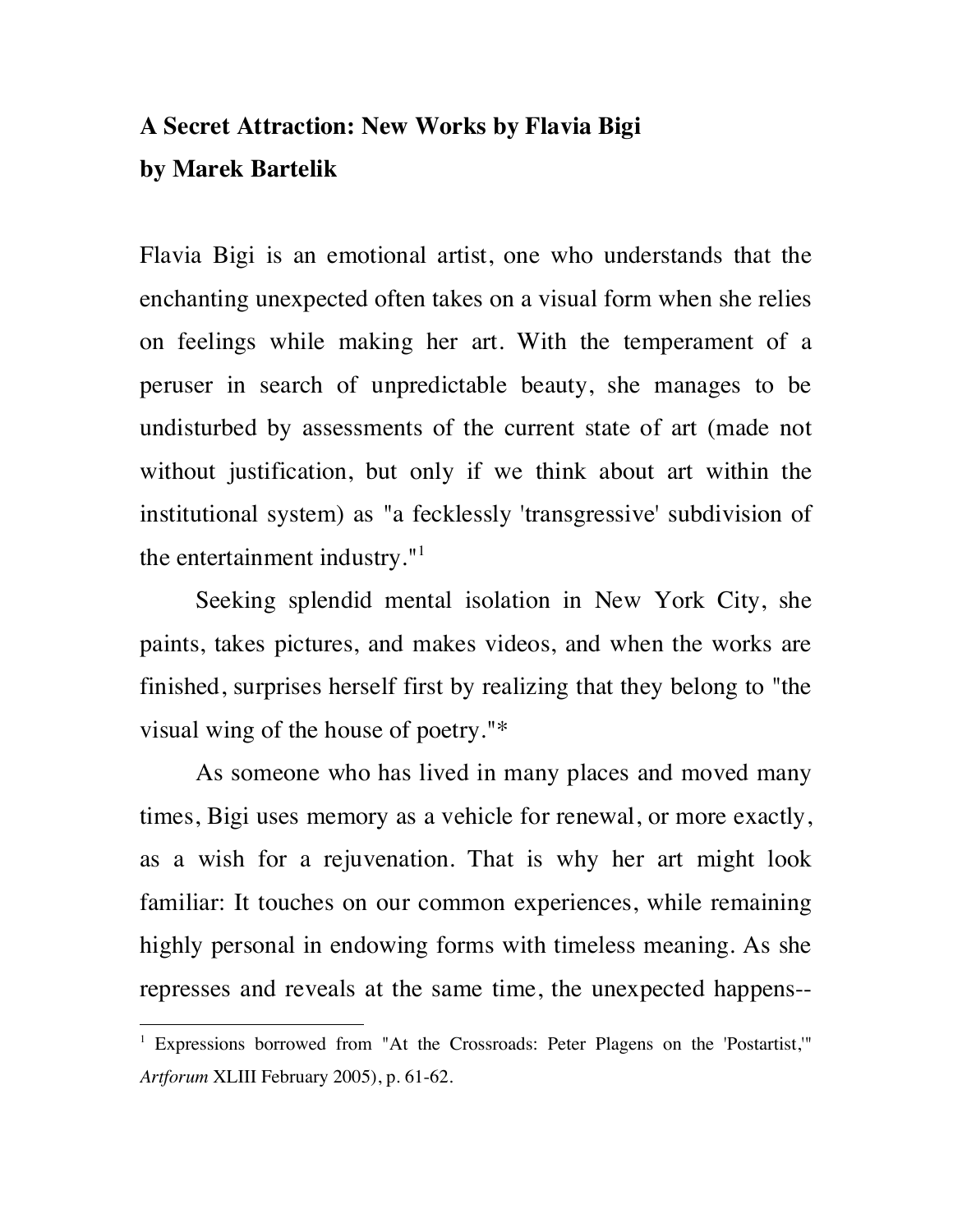## **A Secret Attraction: New Works by Flavia Bigi by Marek Bartelik**

Flavia Bigi is an emotional artist, one who understands that the enchanting unexpected often takes on a visual form when she relies on feelings while making her art. With the temperament of a peruser in search of unpredictable beauty, she manages to be undisturbed by assessments of the current state of art (made not without justification, but only if we think about art within the institutional system) as "a fecklessly 'transgressive' subdivision of the entertainment industry. $"$ <sup>1</sup>

Seeking splendid mental isolation in New York City, she paints, takes pictures, and makes videos, and when the works are finished, surprises herself first by realizing that they belong to "the visual wing of the house of poetry."\*

As someone who has lived in many places and moved many times, Bigi uses memory as a vehicle for renewal, or more exactly, as a wish for a rejuvenation. That is why her art might look familiar: It touches on our common experiences, while remaining highly personal in endowing forms with timeless meaning. As she represses and reveals at the same time, the unexpected happens--

<sup>&</sup>lt;sup>1</sup> Expressions borrowed from "At the Crossroads: Peter Plagens on the 'Postartist,'" *Artforum* XLIII February 2005), p. 61-62.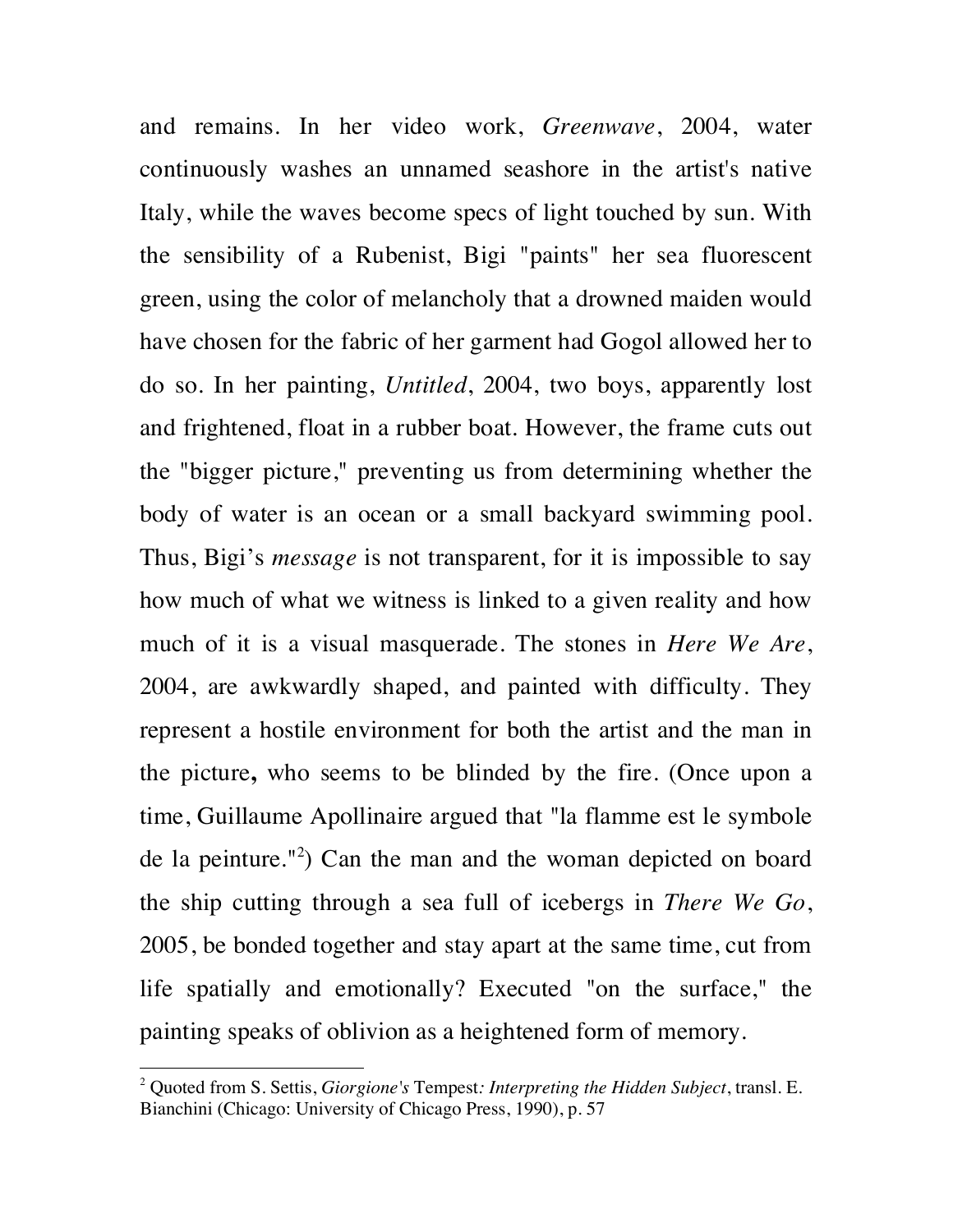and remains. In her video work, *Greenwave*, 2004, water continuously washes an unnamed seashore in the artist's native Italy, while the waves become specs of light touched by sun. With the sensibility of a Rubenist, Bigi "paints" her sea fluorescent green, using the color of melancholy that a drowned maiden would have chosen for the fabric of her garment had Gogol allowed her to do so. In her painting, *Untitled*, 2004, two boys, apparently lost and frightened, float in a rubber boat. However, the frame cuts out the "bigger picture," preventing us from determining whether the body of water is an ocean or a small backyard swimming pool. Thus, Bigi's *message* is not transparent, for it is impossible to say how much of what we witness is linked to a given reality and how much of it is a visual masquerade. The stones in *Here We Are*, 2004, are awkwardly shaped, and painted with difficulty. They represent a hostile environment for both the artist and the man in the picture**,** who seems to be blinded by the fire. (Once upon a time, Guillaume Apollinaire argued that "la flamme est le symbole de la peinture."<sup>2</sup> ) Can the man and the woman depicted on board the ship cutting through a sea full of icebergs in *There We Go*, 2005, be bonded together and stay apart at the same time, cut from life spatially and emotionally? Executed "on the surface," the painting speaks of oblivion as a heightened form of memory.

 <sup>2</sup> Quoted from S. Settis, *Giorgione's* Tempest*: Interpreting the Hidden Subject*, transl. E. Bianchini (Chicago: University of Chicago Press, 1990), p. 57